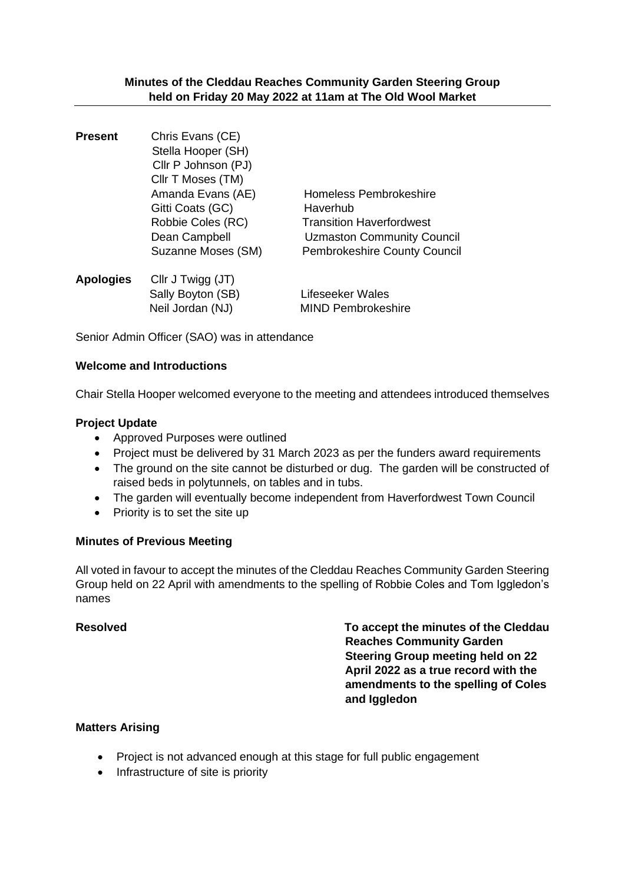| <b>Present</b>   | Chris Evans (CE)    |                                     |
|------------------|---------------------|-------------------------------------|
|                  | Stella Hooper (SH)  |                                     |
|                  | Cllr P Johnson (PJ) |                                     |
|                  | CIIr T Moses (TM)   |                                     |
|                  | Amanda Evans (AE)   | Homeless Pembrokeshire              |
|                  | Gitti Coats (GC)    | Haverhub                            |
|                  | Robbie Coles (RC)   | <b>Transition Haverfordwest</b>     |
|                  | Dean Campbell       | Uzmaston Community Council          |
|                  | Suzanne Moses (SM)  | <b>Pembrokeshire County Council</b> |
| <b>Apologies</b> | Cllr J Twigg (JT)   |                                     |
|                  | Sally Boyton (SB)   | Lifeseeker Wales                    |
|                  | Neil Jordan (NJ)    | <b>MIND Pembrokeshire</b>           |

Senior Admin Officer (SAO) was in attendance

# **Welcome and Introductions**

Chair Stella Hooper welcomed everyone to the meeting and attendees introduced themselves

# **Project Update**

- Approved Purposes were outlined
- Project must be delivered by 31 March 2023 as per the funders award requirements
- The ground on the site cannot be disturbed or dug. The garden will be constructed of raised beds in polytunnels, on tables and in tubs.
- The garden will eventually become independent from Haverfordwest Town Council
- Priority is to set the site up

# **Minutes of Previous Meeting**

All voted in favour to accept the minutes of the Cleddau Reaches Community Garden Steering Group held on 22 April with amendments to the spelling of Robbie Coles and Tom Iggledon's names

**Resolved To accept the minutes of the Cleddau Reaches Community Garden Steering Group meeting held on 22 April 2022 as a true record with the amendments to the spelling of Coles and Iggledon**

# **Matters Arising**

- Project is not advanced enough at this stage for full public engagement
- Infrastructure of site is priority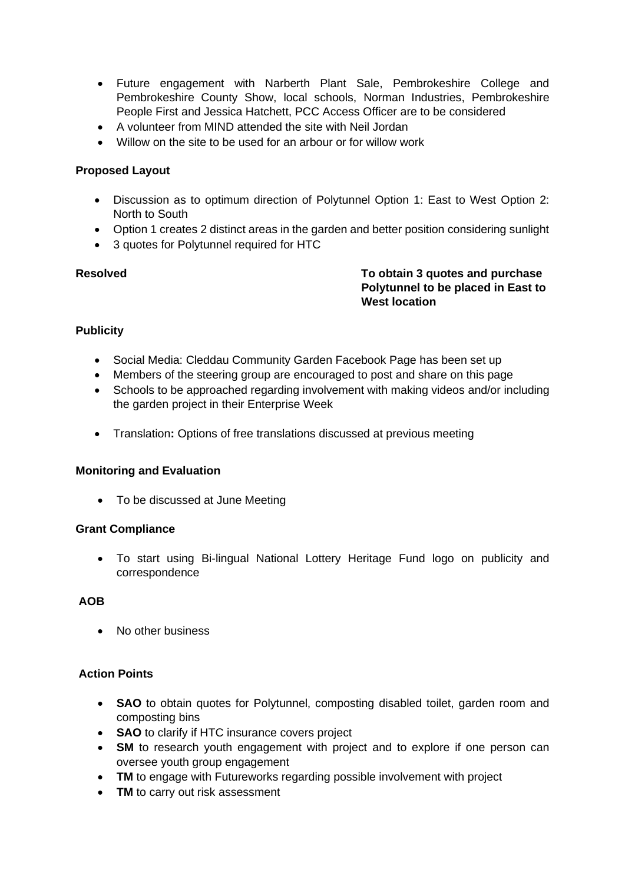- Future engagement with Narberth Plant Sale, Pembrokeshire College and Pembrokeshire County Show, local schools, Norman Industries, Pembrokeshire People First and Jessica Hatchett, PCC Access Officer are to be considered
- A volunteer from MIND attended the site with Neil Jordan
- Willow on the site to be used for an arbour or for willow work

# **Proposed Layout**

- Discussion as to optimum direction of Polytunnel Option 1: East to West Option 2: North to South
- Option 1 creates 2 distinct areas in the garden and better position considering sunlight
- 3 quotes for Polytunnel required for HTC

**Resolved To obtain 3 quotes and purchase Polytunnel to be placed in East to West location** 

# **Publicity**

- Social Media: Cleddau Community Garden Facebook Page has been set up
- Members of the steering group are encouraged to post and share on this page
- Schools to be approached regarding involvement with making videos and/or including the garden project in their Enterprise Week
- Translation**:** Options of free translations discussed at previous meeting

# **Monitoring and Evaluation**

• To be discussed at June Meeting

# **Grant Compliance**

• To start using Bi-lingual National Lottery Heritage Fund logo on publicity and correspondence

# **AOB**

• No other business

# **Action Points**

- **SAO** to obtain quotes for Polytunnel, composting disabled toilet, garden room and composting bins
- **SAO** to clarify if HTC insurance covers project
- **SM** to research youth engagement with project and to explore if one person can oversee youth group engagement
- **TM** to engage with Futureworks regarding possible involvement with project
- **TM** to carry out risk assessment